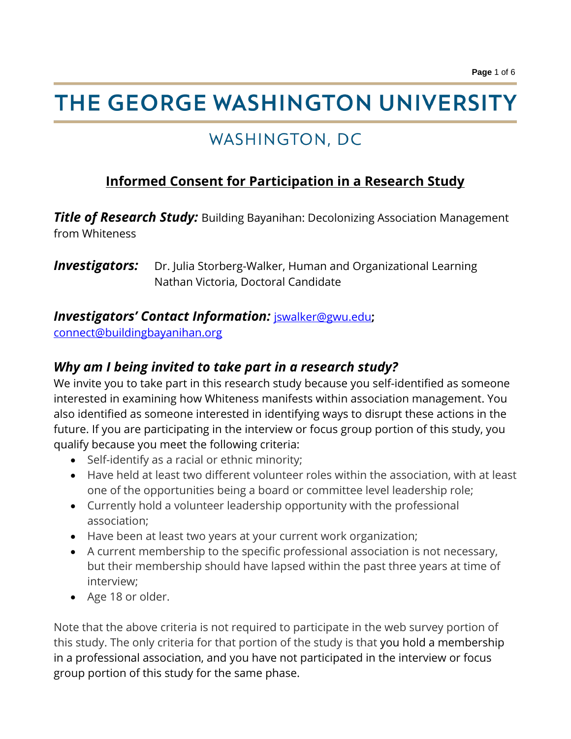# THE GEORGE WASHINGTON UNIVERSITY

# WASHINGTON, DC

## **Informed Consent for Participation in a Research Study**

**Title of Research Study:** Building Bayanihan: Decolonizing Association Management from Whiteness

**Investigators:** Dr. Julia Storberg-Walker, Human and Organizational Learning Nathan Victoria, Doctoral Candidate

#### *Investigators' Contact Information:* [jswalker@gwu.edu](mailto:jswalker@gwu.edu)**;**

[connect@buildingbayanihan.org](mailto:connect@buildingbayanihan.org)

#### *Why am I being invited to take part in a research study?*

We invite you to take part in this research study because you self-identified as someone interested in examining how Whiteness manifests within association management. You also identified as someone interested in identifying ways to disrupt these actions in the future. If you are participating in the interview or focus group portion of this study, you qualify because you meet the following criteria:

- Self-identify as a racial or ethnic minority;
- Have held at least two different volunteer roles within the association, with at least one of the opportunities being a board or committee level leadership role;
- Currently hold a volunteer leadership opportunity with the professional association;
- Have been at least two years at your current work organization;
- A current membership to the specific professional association is not necessary, but their membership should have lapsed within the past three years at time of interview;
- Age 18 or older.

Note that the above criteria is not required to participate in the web survey portion of this study. The only criteria for that portion of the study is that you hold a membership in a professional association, and you have not participated in the interview or focus group portion of this study for the same phase.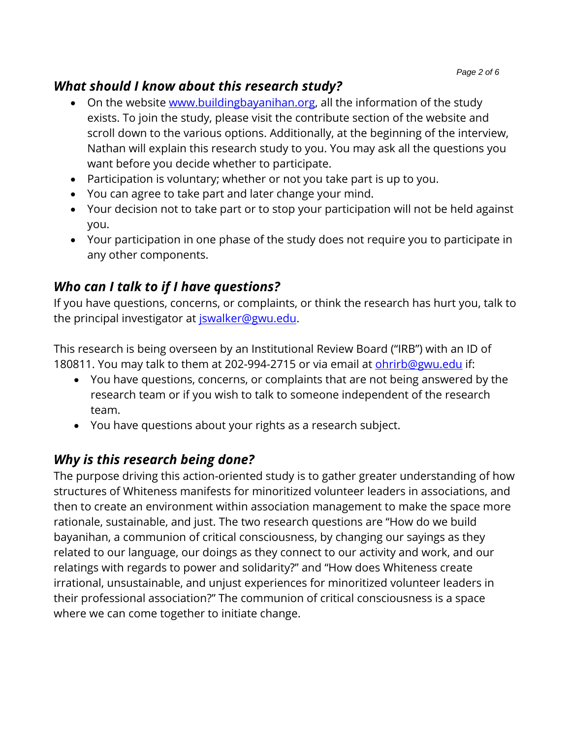#### *What should I know about this research study?*

- On the website [www.buildingbayanihan.org,](http://www.buildingbayanihan.org/) all the information of the study exists. To join the study, please visit the contribute section of the website and scroll down to the various options. Additionally, at the beginning of the interview, Nathan will explain this research study to you. You may ask all the questions you want before you decide whether to participate.
- Participation is voluntary; whether or not you take part is up to you.
- You can agree to take part and later change your mind.
- Your decision not to take part or to stop your participation will not be held against you.
- Your participation in one phase of the study does not require you to participate in any other components.

# *Who can I talk to if I have questions?*

If you have questions, concerns, or complaints, or think the research has hurt you, talk to the principal investigator at [jswalker@gwu.edu.](mailto:jswalker@gwu.edu)

This research is being overseen by an Institutional Review Board ("IRB") with an ID of 180811. You may talk to them at 202-994-2715 or via email at [ohrirb@gwu.edu](file:///C:/Users/rescxr/AppData/Local/Temp/ohrirb@gwu.edu) if:

- You have questions, concerns, or complaints that are not being answered by the research team or if you wish to talk to someone independent of the research team.
- You have questions about your rights as a research subject.

#### *Why is this research being done?*

The purpose driving this action-oriented study is to gather greater understanding of how structures of Whiteness manifests for minoritized volunteer leaders in associations, and then to create an environment within association management to make the space more rationale, sustainable, and just. The two research questions are "How do we build bayanihan, a communion of critical consciousness, by changing our sayings as they related to our language, our doings as they connect to our activity and work, and our relatings with regards to power and solidarity?" and "How does Whiteness create irrational, unsustainable, and unjust experiences for minoritized volunteer leaders in their professional association?" The communion of critical consciousness is a space where we can come together to initiate change.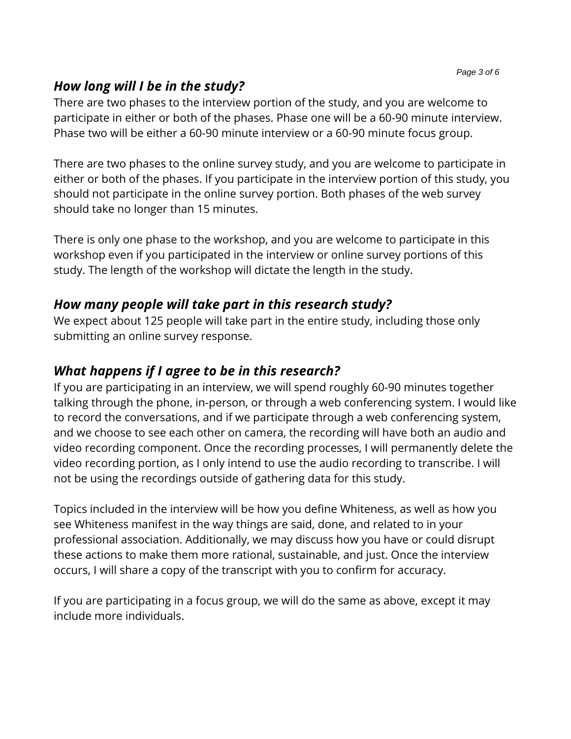#### *How long will I be in the study?*

There are two phases to the interview portion of the study, and you are welcome to participate in either or both of the phases. Phase one will be a 60-90 minute interview. Phase two will be either a 60-90 minute interview or a 60-90 minute focus group.

There are two phases to the online survey study, and you are welcome to participate in either or both of the phases. If you participate in the interview portion of this study, you should not participate in the online survey portion. Both phases of the web survey should take no longer than 15 minutes.

There is only one phase to the workshop, and you are welcome to participate in this workshop even if you participated in the interview or online survey portions of this study. The length of the workshop will dictate the length in the study.

#### *How many people will take part in this research study?*

We expect about 125 people will take part in the entire study, including those only submitting an online survey response.

#### *What happens if I agree to be in this research?*

If you are participating in an interview, we will spend roughly 60-90 minutes together talking through the phone, in-person, or through a web conferencing system. I would like to record the conversations, and if we participate through a web conferencing system, and we choose to see each other on camera, the recording will have both an audio and video recording component. Once the recording processes, I will permanently delete the video recording portion, as I only intend to use the audio recording to transcribe. I will not be using the recordings outside of gathering data for this study.

Topics included in the interview will be how you define Whiteness, as well as how you see Whiteness manifest in the way things are said, done, and related to in your professional association. Additionally, we may discuss how you have or could disrupt these actions to make them more rational, sustainable, and just. Once the interview occurs, I will share a copy of the transcript with you to confirm for accuracy.

If you are participating in a focus group, we will do the same as above, except it may include more individuals.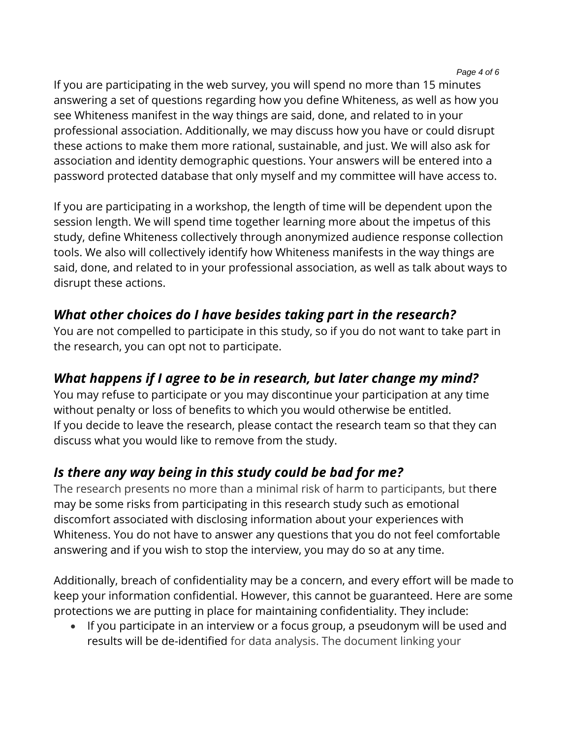*Page 4 of 6*

If you are participating in the web survey, you will spend no more than 15 minutes answering a set of questions regarding how you define Whiteness, as well as how you see Whiteness manifest in the way things are said, done, and related to in your professional association. Additionally, we may discuss how you have or could disrupt these actions to make them more rational, sustainable, and just. We will also ask for association and identity demographic questions. Your answers will be entered into a password protected database that only myself and my committee will have access to.

If you are participating in a workshop, the length of time will be dependent upon the session length. We will spend time together learning more about the impetus of this study, define Whiteness collectively through anonymized audience response collection tools. We also will collectively identify how Whiteness manifests in the way things are said, done, and related to in your professional association, as well as talk about ways to disrupt these actions.

# *What other choices do I have besides taking part in the research?*

You are not compelled to participate in this study, so if you do not want to take part in the research, you can opt not to participate.

# *What happens if I agree to be in research, but later change my mind?*

You may refuse to participate or you may discontinue your participation at any time without penalty or loss of benefits to which you would otherwise be entitled. If you decide to leave the research, please contact the research team so that they can discuss what you would like to remove from the study.

# *Is there any way being in this study could be bad for me?*

The research presents no more than a minimal risk of harm to participants, but there may be some risks from participating in this research study such as emotional discomfort associated with disclosing information about your experiences with Whiteness. You do not have to answer any questions that you do not feel comfortable answering and if you wish to stop the interview, you may do so at any time.

Additionally, breach of confidentiality may be a concern, and every effort will be made to keep your information confidential. However, this cannot be guaranteed. Here are some protections we are putting in place for maintaining confidentiality. They include:

 If you participate in an interview or a focus group, a pseudonym will be used and results will be de-identified for data analysis. The document linking your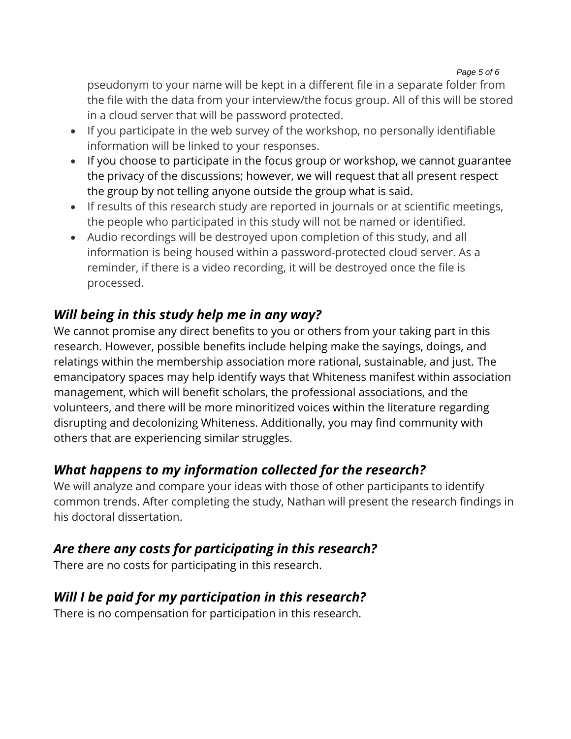#### *Page 5 of 6*

pseudonym to your name will be kept in a different file in a separate folder from the file with the data from your interview/the focus group. All of this will be stored in a cloud server that will be password protected.

- If you participate in the web survey of the workshop, no personally identifiable information will be linked to your responses.
- If you choose to participate in the focus group or workshop, we cannot guarantee the privacy of the discussions; however, we will request that all present respect the group by not telling anyone outside the group what is said.
- If results of this research study are reported in journals or at scientific meetings, the people who participated in this study will not be named or identified.
- Audio recordings will be destroyed upon completion of this study, and all information is being housed within a password-protected cloud server. As a reminder, if there is a video recording, it will be destroyed once the file is processed.

## *Will being in this study help me in any way?*

We cannot promise any direct benefits to you or others from your taking part in this research. However, possible benefits include helping make the sayings, doings, and relatings within the membership association more rational, sustainable, and just. The emancipatory spaces may help identify ways that Whiteness manifest within association management, which will benefit scholars, the professional associations, and the volunteers, and there will be more minoritized voices within the literature regarding disrupting and decolonizing Whiteness. Additionally, you may find community with others that are experiencing similar struggles.

## *What happens to my information collected for the research?*

We will analyze and compare your ideas with those of other participants to identify common trends. After completing the study, Nathan will present the research findings in his doctoral dissertation.

## *Are there any costs for participating in this research?*

There are no costs for participating in this research.

## *Will I be paid for my participation in this research?*

There is no compensation for participation in this research.